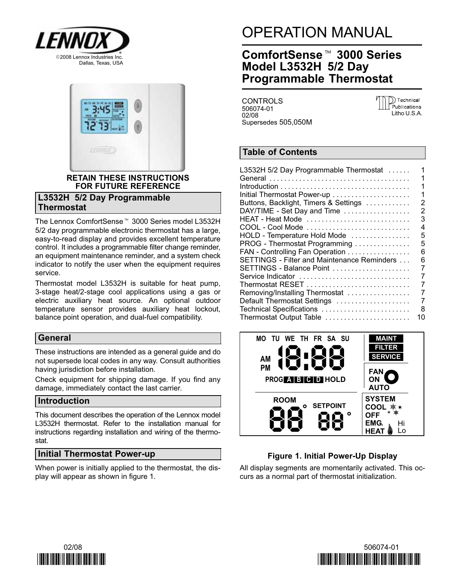



# RETAIN THESE INSTRUCTIONS FOR FUTURE REFERENCE

# L3532H 5/2 Day Programmable **Thermostat**

The Lennox ComfortSense- 3000 Series model L3532H 5/2 day programmable electronic thermostat has a large, easy-to-read display and provides excellent temperature control. It includes a programmable filter change reminder, an equipment maintenance reminder, and a system check indicator to notify the user when the equipment requires service.

Thermostat model L3532H is suitable for heat pump, 3-stage heat/2-stage cool applications using a gas or electric auxiliary heat source. An optional outdoor temperature sensor provides auxiliary heat lockout, balance point operation, and dual−fuel compatibility.

# General

These instructions are intended as a general guide and do not supersede local codes in any way. Consult authorities having jurisdiction before installation.

Check equipment for shipping damage. If you find any damage, immediately contact the last carrier.

# Introduction

This document describes the operation of the Lennox model L3532H thermostat. Refer to the installation manual for instructions regarding installation and wiring of the thermostat.

# Initial Thermostat Power-up

When power is initially applied to the thermostat, the display will appear as shown in figure 1.

# OPERATION MANUAL<br>ComfortSense™ 3000 Series

# Model L3532H 5/2 Day Programmable Thermostat

CONTROLS 506074−01 02/08 Supersedes 505,050M D) Technical Publications Litho U.S.A.

# Table of Contents

| L3532H 5/2 Day Programmable Thermostat                                                             | 1  |
|----------------------------------------------------------------------------------------------------|----|
|                                                                                                    | 1  |
| $Introduction \dots \dots \dots \dots \dots \dots \dots \dots \dots \dots \dots \dots \dots \dots$ | 1  |
| Initial Thermostat Power-up                                                                        | 1  |
| Buttons, Backlight, Timers & Settings                                                              | 2  |
| DAY/TIME - Set Day and Time                                                                        | 2  |
| HEAT - Heat Mode                                                                                   | 3  |
|                                                                                                    | 4  |
| HOLD - Temperature Hold Mode                                                                       | 5  |
| PROG - Thermostat Programming                                                                      | 5  |
|                                                                                                    | 6  |
| FAN - Controlling Fan Operation                                                                    |    |
| SETTINGS - Filter and Maintenance Reminders                                                        | 6  |
| SETTINGS - Balance Point                                                                           | 7  |
| Service Indicator                                                                                  | 7  |
|                                                                                                    | 7  |
| Removing/Installing Thermostat                                                                     | 7  |
| Default Thermostat Settings                                                                        | 7  |
| Technical Specifications                                                                           | 8  |
| Thermostat Output Table                                                                            | 10 |
|                                                                                                    |    |



# Figure 1. Initial Power−Up Display

All display segments are momentarily activated. This occurs as a normal part of thermostat initialization.



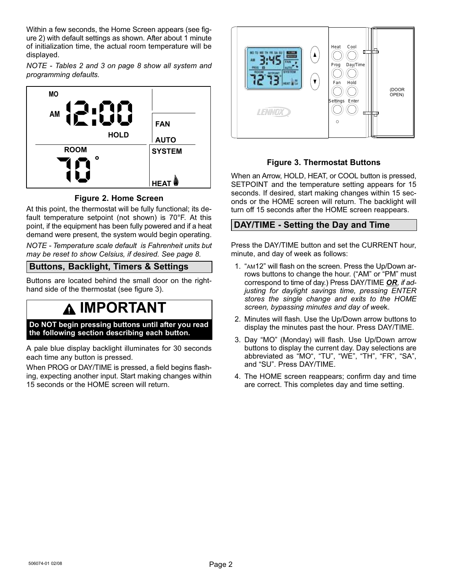<span id="page-1-0"></span>Within a few seconds, the Home Screen appears (see figure 2) with default settings as shown. After about 1 minute of initialization time, the actual room temperature will be displayed.

NOTE − Tables [2](#page-7-0) and [3](#page-7-0) on page [8](#page-7-0) show all system and programming defaults.



# Figure 2. Home Screen

At this point, the thermostat will be fully functional; its default temperature setpoint (not shown) is 70°F. At this point, if the equipment has been fully powered and if a heat demand were present, the system would begin operating.

NOTE − Temperature scale default is Fahrenheit units but may be reset to show Celsius, if desired. See page [8.](#page-7-0)

# Buttons, Backlight, Timers & Settings

Buttons are located behind the small door on the right− hand side of the thermostat (see figure 3).

# IMPORTANT

Do NOT begin pressing buttons until after you read the following section describing each button.

A pale blue display backlight illuminates for 30 seconds each time any button is pressed.

When PROG or DAY/TIME is pressed, a field begins flashing, expecting another input. Start making changes within 15 seconds or the HOME screen will return.



# Figure 3. Thermostat Buttons

When an Arrow, HOLD, HEAT, or COOL button is pressed, SETPOINT and the temperature setting appears for 15 seconds. If desired, start making changes within 15 seconds or the HOME screen will return. The backlight will turn off 15 seconds after the HOME screen reappears.

# DAY/TIME - Setting the Day and Time

Press the DAY/TIME button and set the CURRENT hour, minute, and day of week as follows:

- 1. "AM12" will flash on the screen. Press the Up/Down arrows buttons to change the hour. ("AM" or "PM" must correspond to time of day.) Press DAY/TIME OR, if adjusting for daylight savings time, pressing ENTER stores the single change and exits to the HOME screen, bypassing minutes and day of week.
- 2. Minutes will flash. Use the Up/Down arrow buttons to display the minutes past the hour. Press DAY/TIME.
- 3. Day "MO" (Monday) will flash. Use Up/Down arrow buttons to display the current day. Day selections are abbreviated as "MO", "TU", "WE", "TH", "FR", "SA", and "SU". Press DAY/TIME.
- 4. The HOME screen reappears; confirm day and time are correct. This completes day and time setting.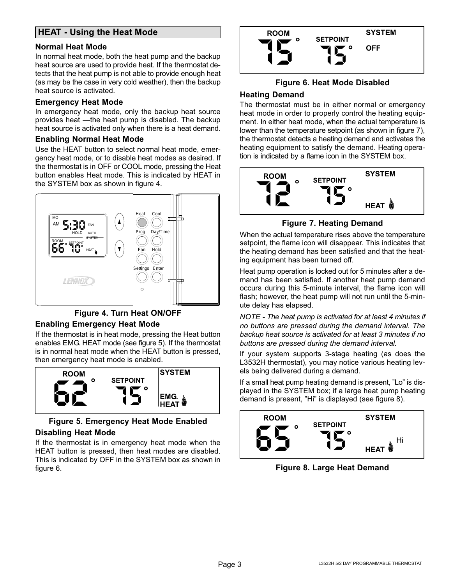# <span id="page-2-0"></span>HEAT - Using the Heat Mode

#### Normal Heat Mode

In normal heat mode, both the heat pump and the backup heat source are used to provide heat. If the thermostat detects that the heat pump is not able to provide enough heat (as may be the case in very cold weather), then the backup heat source is activated.

#### Emergency Heat Mode

In emergency heat mode, only the backup heat source provides heat - the heat pump is disabled. The backup heat source is activated only when there is a heat demand.

#### Enabling Normal Heat Mode

Use the HEAT button to select normal heat mode, emergency heat mode, or to disable heat modes as desired. If the thermostat is in OFF or COOL mode, pressing the Heat button enables Heat mode. This is indicated by HEAT in the SYSTEM box as shown in figure 4.



#### Figure 4. Turn Heat ON/OFF

#### Enabling Emergency Heat Mode

If the thermostat is in heat mode, pressing the Heat button enables EMG. HEAT mode (see figure 5). If the thermostat is in normal heat mode when the HEAT button is pressed, then emergency heat mode is enabled.



# Figure 5. Emergency Heat Mode Enabled

#### Disabling Heat Mode

If the thermostat is in emergency heat mode when the HEAT button is pressed, then heat modes are disabled. This is indicated by OFF in the SYSTEM box as shown in figure 6.



#### Figure 6. Heat Mode Disabled

#### Heating Demand

The thermostat must be in either normal or emergency heat mode in order to properly control the heating equipment. In either heat mode, when the actual temperature is lower than the temperature setpoint (as shown in figure 7), the thermostat detects a heating demand and activates the heating equipment to satisfy the demand. Heating operation is indicated by a flame icon in the SYSTEM box.



Figure 7. Heating Demand

When the actual temperature rises above the temperature setpoint, the flame icon will disappear. This indicates that the heating demand has been satisfied and that the heating equipment has been turned off.

Heat pump operation is locked out for 5 minutes after a demand has been satisfied. If another heat pump demand occurs during this 5−minute interval, the flame icon will flash; however, the heat pump will not run until the 5−minute delay has elapsed.

NOTE − The heat pump is activated for at least 4 minutes if no buttons are pressed during the demand interval. The backup heat source is activated for at least 3 minutes if no buttons are pressed during the demand interval.

If your system supports 3−stage heating (as does the L3532H thermostat), you may notice various heating levels being delivered during a demand.

If a small heat pump heating demand is present, "Lo" is displayed in the SYSTEM box; if a large heat pump heating demand is present, "Hi" is displayed (see figure 8).



Figure 8. Large Heat Demand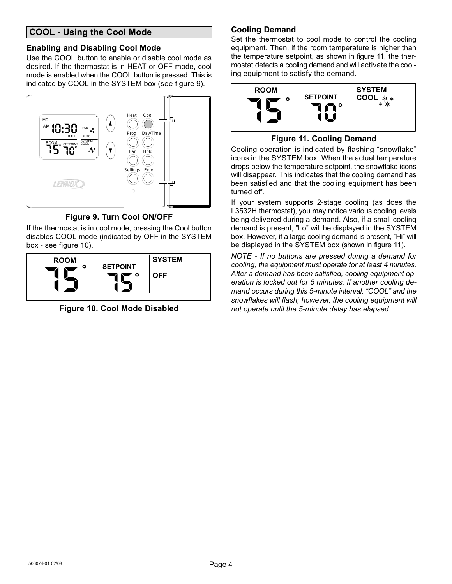# <span id="page-3-0"></span>COOL − Using the Cool Mode

#### Enabling and Disabling Cool Mode

Use the COOL button to enable or disable cool mode as desired. If the thermostat is in HEAT or OFF mode, cool mode is enabled when the COOL button is pressed. This is indicated by COOL in the SYSTEM box (see figure 9).



# Figure 9. Turn Cool ON/OFF

If the thermostat is in cool mode, pressing the Cool button disables COOL mode (indicated by OFF in the SYSTEM box − see figure 10).



Figure 10. Cool Mode Disabled

# Cooling Demand

Set the thermostat to cool mode to control the cooling equipment. Then, if the room temperature is higher than the temperature setpoint, as shown in figure 11, the thermostat detects a cooling demand and will activate the cooling equipment to satisfy the demand.



#### Figure 11. Cooling Demand

Cooling operation is indicated by flashing "snowflake" icons in the SYSTEM box. When the actual temperature drops below the temperature setpoint, the snowflake icons will disappear. This indicates that the cooling demand has been satisfied and that the cooling equipment has been turned off.

If your system supports 2−stage cooling (as does the L3532H thermostat), you may notice various cooling levels being delivered during a demand. Also, if a small cooling demand is present, "Lo" will be displayed in the SYSTEM box. However, if a large cooling demand is present, "Hi" will be displayed in the SYSTEM box (shown in figure 11).

NOTE − If no buttons are pressed during a demand for cooling, the equipment must operate for at least 4 minutes. After a demand has been satisfied, cooling equipment operation is locked out for 5 minutes. If another cooling demand occurs during this 5-minute interval, "COOL" and the snowflakes will flash; however, the cooling equipment will not operate until the 5−minute delay has elapsed.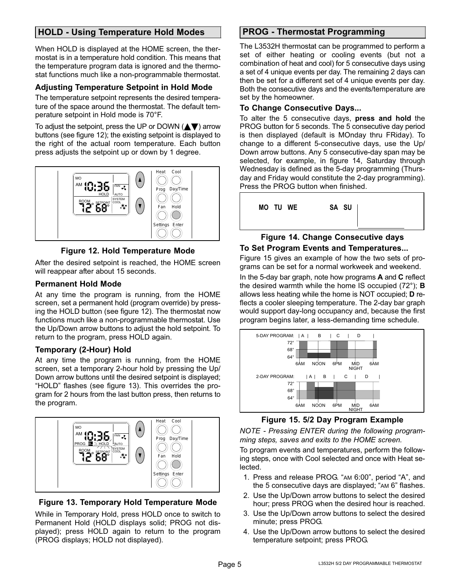# <span id="page-4-0"></span>HOLD − Using Temperature Hold Modes

When HOLD is displayed at the HOME screen, the thermostat is in a temperature hold condition. This means that the temperature program data is ignored and the thermostat functions much like a non−programmable thermostat.

# Adjusting Temperature Setpoint in Hold Mode

The temperature setpoint represents the desired temperature of the space around the thermostat. The default temperature setpoint in Hold mode is 70°F.

To adjust the setpoint, press the UP or DOWN ( $\blacktriangle \blacktriangledown$ ) arrow buttons (see figure 12); the existing setpoint is displayed to the right of the actual room temperature. Each button press adjusts the setpoint up or down by 1 degree.



# Figure 12. Hold Temperature Mode

After the desired setpoint is reached, the HOME screen will reappear after about 15 seconds.

# Permanent Hold Mode

At any time the program is running, from the HOME screen, set a permanent hold (program override) by pressing the HOLD button (see figure 12). The thermostat now functions much like a non−programmable thermostat. Use the Up/Down arrow buttons to adjust the hold setpoint. To return to the program, press HOLD again.

# Temporary (2-Hour) Hold

At any time the program is running, from the HOME screen, set a temporary 2-hour hold by pressing the Up/ Down arrow buttons until the desired setpoint is displayed; HOLD" flashes (see figure 13). This overrides the program for 2 hours from the last button press, then returns to the program.



Figure 13. Temporary Hold Temperature Mode

While in Temporary Hold, press HOLD once to switch to Permanent Hold (HOLD displays solid; PROG not displayed); press HOLD again to return to the program (PROG displays; HOLD not displayed).

# PROG − Thermostat Programming

The L3532H thermostat can be programmed to perform a set of either heating or cooling events (but not a combination of heat and cool) for 5 consecutive days using a set of 4 unique events per day. The remaining 2 days can then be set for a different set of 4 unique events per day. Both the consecutive days and the events/temperature are set by the homeowner.

#### To Change Consecutive Days...

To alter the 5 consecutive days, press and hold the PROG button for 5 seconds. The 5 consecutive day period is then displayed (default is MOnday thru FRiday). To change to a different 5-consecutive days, use the Up/ Down arrow buttons. Any 5 consecutive−day span may be selected, for example, in figure 14, Saturday through Wednesday is defined as the 5−day programming (Thursday and Friday would constitute the 2−day programming). Press the PROG button when finished.



#### Figure 14. Change Consecutive days To Set Program Events and Temperatures...

Figure 15 gives an example of how the two sets of programs can be set for a normal workweek and weekend.

In the 5−day bar graph, note how programs A and C reflect the desired warmth while the home IS occupied (72°); B allows less heating while the home is NOT occupied; D reflects a cooler sleeping temperature. The 2−day bar graph would support day−long occupancy and, because the first program begins later, a less−demanding time schedule.



Figure 15. 5/2 Day Program Example

NOTE − Pressing ENTER during the following programming steps, saves and exits to the HOME screen.

To program events and temperatures, perform the following steps, once with Cool selected and once with Heat selected.

- 1. Press and release PROG. "AM 6:00", period "A", and the 5 consecutive days are displayed; "AM 6" flashes.
- 2. Use the Up/Down arrow buttons to select the desired hour; press PROG when the desired hour is reached.
- 3. Use the Up/Down arrow buttons to select the desired minute; press PROG.
- 4. Use the Up/Down arrow buttons to select the desired temperature setpoint; press PROG.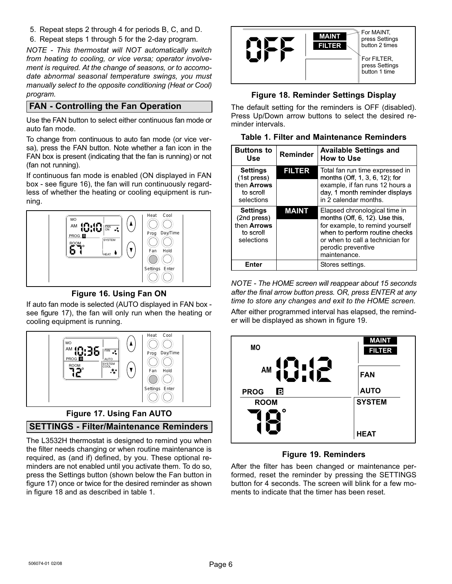<span id="page-5-0"></span>5. Repeat steps [2](#page-4-0) through [4](#page-4-0) for periods B, C, and D.

6. Repeat steps [1](#page-4-0) through 5 for the 2−day program.

NOTE − This thermostat will NOT automatically switch from heating to cooling, or vice versa; operator involvement is required. At the change of seasons, or to accomodate abnormal seasonal temperature swings, you must manually select to the opposite conditioning (Heat or Cool) program.

# FAN − Controlling the Fan Operation

Use the FAN button to select either continuous fan mode or auto fan mode.

To change from continuous to auto fan mode (or vice versa), press the FAN button. Note whether a fan icon in the FAN box is present (indicating that the fan is running) or not (fan not running).

If continuous fan mode is enabled (ON displayed in FAN box − see figure 16), the fan will run continuously regardless of whether the heating or cooling equipment is running.



Figure 16. Using Fan ON

If auto fan mode is selected (AUTO displayed in FAN box − see figure 17), the fan will only run when the heating or cooling equipment is running.



# Figure 17. Using Fan AUTO

# SETTINGS − Filter/Maintenance Reminders

The L3532H thermostat is designed to remind you when the filter needs changing or when routine maintenance is required, as (and if) defined, by you. These optional reminders are not enabled until you activate them. To do so, press the Settings button (shown below the Fan button in figure 17) once or twice for the desired reminder as shown in figure 18 and as described in table 1.



# Figure 18. Reminder Settings Display

The default setting for the reminders is OFF (disabled). Press Up/Down arrow buttons to select the desired reminder intervals.

| <b>Table 1. Filter and Maintenance Reminders</b> |  |  |  |  |  |  |
|--------------------------------------------------|--|--|--|--|--|--|
|--------------------------------------------------|--|--|--|--|--|--|

| <b>Buttons to</b><br>Use                                                 | Reminder      | <b>Available Settings and</b><br>How to Use                                                                                                                                                                       |
|--------------------------------------------------------------------------|---------------|-------------------------------------------------------------------------------------------------------------------------------------------------------------------------------------------------------------------|
| <b>Settings</b><br>(1st press)<br>then Arrows<br>to scroll<br>selections | <b>FILTER</b> | Total fan run time expressed in<br>months (Off, 1, 3, 6, 12); for<br>example, if fan runs 12 hours a<br>day, 1 month reminder displays<br>in 2 calendar months.                                                   |
| <b>Settings</b><br>(2nd press)<br>then Arrows<br>to scroll<br>selections | <b>MAINT</b>  | Elapsed chronological time in<br>months $(Off, 6, 12)$ . Use this,<br>for example, to remind yourself<br>when to perform routine checks<br>or when to call a technician for<br>perodic preventive<br>maintenance. |
| Enter                                                                    |               | Stores settings.                                                                                                                                                                                                  |

NOTE − The HOME screen will reappear about 15 seconds after the final arrow button press. OR, press ENTER at any time to store any changes and exit to the HOME screen.

After either programmed interval has elapsed, the reminder will be displayed as shown in figure 19.



# Figure 19. Reminders

After the filter has been changed or maintenance performed, reset the reminder by pressing the SETTINGS button for 4 seconds. The screen will blink for a few moments to indicate that the timer has been reset.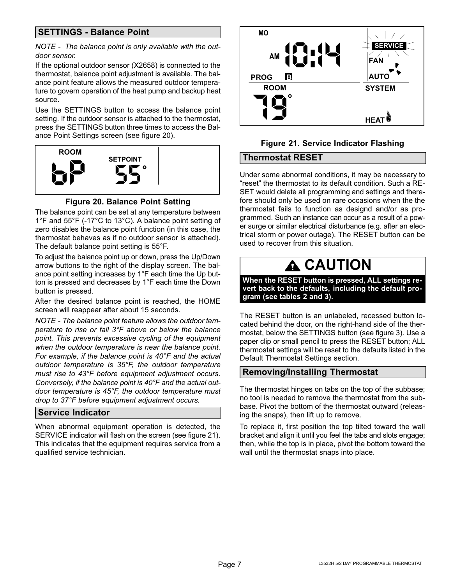# <span id="page-6-0"></span>SETTINGS − Balance Point

#### NOTE - The balance point is only available with the outdoor sensor.

If the optional outdoor sensor (X2658) is connected to the thermostat, balance point adjustment is available. The balance point feature allows the measured outdoor temperature to govern operation of the heat pump and backup heat source.

Use the SETTINGS button to access the balance point setting. If the outdoor sensor is attached to the thermostat, press the SETTINGS button three times to access the Balance Point Settings screen (see figure 20).



Figure 20. Balance Point Setting

The balance point can be set at any temperature between 1°F and 55°F (−17°C to 13°C). A balance point setting of zero disables the balance point function (in this case, the thermostat behaves as if no outdoor sensor is attached). The default balance point setting is 55°F.

To adjust the balance point up or down, press the Up/Down arrow buttons to the right of the display screen. The balance point setting increases by 1°F each time the Up button is pressed and decreases by 1°F each time the Down button is pressed.

After the desired balance point is reached, the HOME screen will reappear after about 15 seconds.

NOTE − The balance point feature allows the outdoor temperature to rise or fall 3°F above or below the balance point. This prevents excessive cycling of the equipment when the outdoor temperature is near the balance point. For example, if the balance point is 40°F and the actual outdoor temperature is 35°F, the outdoor temperature must rise to 43°F before equipment adjustment occurs. Conversely, if the balance point is 40°F and the actual outdoor temperature is 45°F, the outdoor temperature must drop to 37°F before equipment adjustment occurs.

# Service Indicator

When abnormal equipment operation is detected, the SERVICE indicator will flash on the screen (see figure 21). This indicates that the equipment requires service from a qualified service technician.



# Figure 21. Service Indicator Flashing

#### Thermostat RESET

Under some abnormal conditions, it may be necessary to reset" the thermostat to its default condition. Such a RE-SET would delete all programming and settings and therefore should only be used on rare occasions when the the thermostat fails to function as designd and/or as programmed. Such an instance can occur as a result of a power surge or similar electrical disturbance (e.g. after an electrical storm or power outage). The RESET button can be used to recover from this situation.

# **A CAUTION**

When the RESET button is pressed, ALL settings revert back to the defaults, including the default program (see tables [2](#page-7-0) and [3](#page-7-0)).

The RESET button is an unlabeled, recessed button located behind the door, on the right−hand side of the thermostat, below the SETTINGS button (see figure [3\)](#page-1-0). Use a paper clip or small pencil to press the RESET button; ALL thermostat settings will be reset to the defaults listed in the Default Thermostat Settings section.

# Removing/Installing Thermostat

The thermostat hinges on tabs on the top of the subbase; no tool is needed to remove the thermostat from the subbase. Pivot the bottom of the thermostat outward (releasing the snaps), then lift up to remove.

To replace it, first position the top tilted toward the wall bracket and align it until you feel the tabs and slots engage; then, while the top is in place, pivot the bottom toward the wall until the thermostat snaps into place.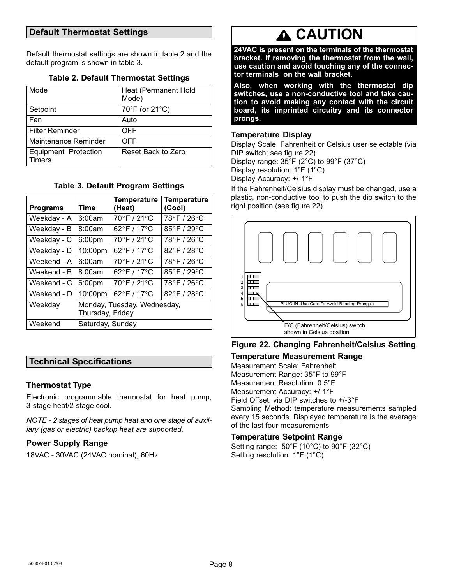# <span id="page-7-0"></span>Default Thermostat Settings

Default thermostat settings are shown in table 2 and the default program is shown in table 3.

|  |  | <b>Table 2. Default Thermostat Settings</b> |  |
|--|--|---------------------------------------------|--|
|--|--|---------------------------------------------|--|

| Mode                                  | Heat (Permanent Hold<br>Mode) |
|---------------------------------------|-------------------------------|
| Setpoint                              | 70°F (or 21°C)                |
| Fan                                   | Auto                          |
| <b>Filter Reminder</b>                | OFF                           |
| Maintenance Reminder                  | OFF                           |
| <b>Equipment Protection</b><br>Timers | Reset Back to Zero            |

#### Table 3. Default Program Settings

| <b>Programs</b> | Time                                            | <b>Temperature</b><br>(Heat) | <b>Temperature</b><br>(Cool) |  |
|-----------------|-------------------------------------------------|------------------------------|------------------------------|--|
| Weekday - A     | 6:00am                                          | 70°F/21°C                    | 78°F/26°C                    |  |
| Weekday - B     | 8:00am                                          | 62°F / 17°C                  | 85°F / 29°C                  |  |
| Weekday - C     | 6:00pm                                          | 70°F / 21°C                  | 78°F / 26°C                  |  |
| Weekday - D     | 10:00pm                                         | 62°F / 17°C                  | 82°F / 28°C                  |  |
| Weekend - A     | 6:00am                                          | 70°F/21°C                    | 78°F / 26°C                  |  |
| Weekend - B     | 8:00am                                          | 62°F / 17°C                  | $85^\circ$ F / 29 $^\circ$ C |  |
| Weekend - C     | 6:00pm                                          | 70°F / 21°C                  | 78°F / 26°C                  |  |
| Weekend - D     | 10:00pm                                         | 62°F / 17°C                  | 82°F / 28°C                  |  |
| Weekday         | Monday, Tuesday, Wednesday,<br>Thursday, Friday |                              |                              |  |
| Weekend         | Saturday, Sunday                                |                              |                              |  |

# Technical Specifications

#### Thermostat Type

Electronic programmable thermostat for heat pump, 3-stage heat/2-stage cool.

NOTE − 2 stages of heat pump heat and one stage of auxiliary (gas or electric) backup heat are supported.

#### Power Supply Range

18VAC − 30VAC (24VAC nominal), 60Hz

# **A CAUTION**

24VAC is present on the terminals of the thermostat bracket. If removing the thermostat from the wall, use caution and avoid touching any of the connector terminals on the wall bracket.

Also, when working with the thermostat dip switches, use a non−conductive tool and take caution to avoid making any contact with the circuit board, its imprinted circuitry and its connector prongs.

#### Temperature Display

Display Scale: Fahrenheit or Celsius user selectable (via DIP switch; see figure 22) Display range: 35°F (2°C) to 99°F (37°C) Display resolution: 1°F (1°C)

Display Accuracy: +/−1°F

If the Fahrenheit/Celsius display must be changed, use a plastic, non−conductive tool to push the dip switch to the right position (see figure 22).



# Figure 22. Changing Fahrenheit/Celsius Setting

#### Temperature Measurement Range

Measurement Scale: Fahrenheit Measurement Range: 35°F to 99°F Measurement Resolution: 0.5°F Measurement Accuracy: +/−1°F Field Offset: via DIP switches to +/−3°F Sampling Method: temperature measurements sampled every 15 seconds. Displayed temperature is the average of the last four measurements.

#### Temperature Setpoint Range

Setting range: 50°F (10°C) to 90°F (32°C) Setting resolution: 1°F (1°C)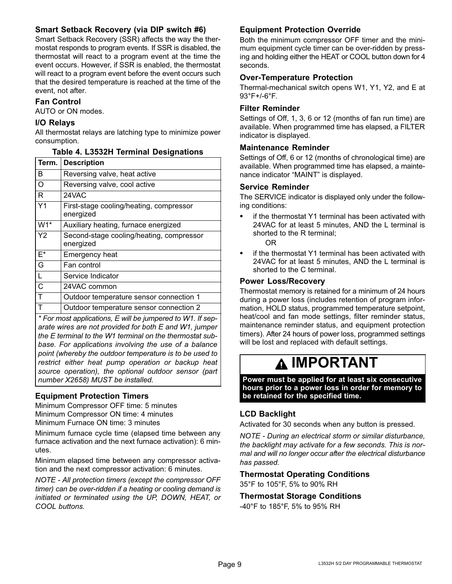# Smart Setback Recovery (via DIP switch #6)

Smart Setback Recovery (SSR) affects the way the thermostat responds to program events. If SSR is disabled, the thermostat will react to a program event at the time the event occurs. However, if SSR is enabled, the thermostat will react to a program event before the event occurs such that the desired temperature is reached at the time of the event, not after.

#### Fan Control

AUTO or ON modes.

#### I/O Relays

All thermostat relays are latching type to minimize power consumption.

| <b>Description</b>                                    |
|-------------------------------------------------------|
| Reversing valve, heat active                          |
| Reversing valve, cool active                          |
| 24VAC                                                 |
| First-stage cooling/heating, compressor<br>energized  |
| Auxiliary heating, furnace energized                  |
| Second-stage cooling/heating, compressor<br>energized |
| <b>Emergency heat</b>                                 |
| Fan control                                           |
| Service Indicator                                     |
| 24VAC common                                          |
| Outdoor temperature sensor connection 1               |
| Outdoor temperature sensor connection 2               |
|                                                       |

Table 4. L3532H Terminal Designations

#### \* For most applications, E will be jumpered to W1. If separate wires are not provided for both E and W1, jumper the E terminal to the W1 terminal on the thermostat subbase. For applications involving the use of a balance point (whereby the outdoor temperature is to be used to restrict either heat pump operation or backup heat source operation), the optional outdoor sensor (part number X2658) MUST be installed.

#### Equipment Protection Timers

Minimum Compressor OFF time: 5 minutes Minimum Compressor ON time: 4 minutes Minimum Furnace ON time: 3 minutes

Minimum furnace cycle time (elapsed time between any furnace activation and the next furnace activation): 6 minutes.

Minimum elapsed time between any compressor activation and the next compressor activation: 6 minutes.

NOTE − All protection timers (except the compressor OFF timer) can be over−ridden if a heating or cooling demand is initiated or terminated using the UP, DOWN, HEAT, or COOL buttons.

# Equipment Protection Override

Both the minimum compressor OFF timer and the minimum equipment cycle timer can be over−ridden by pressing and holding either the HEAT or COOL button down for 4 seconds.

#### Over−Temperature Protection

Thermal-mechanical switch opens W1, Y1, Y2, and E at 93°F+/−6°F.

#### Filter Reminder

Settings of Off, 1, 3, 6 or 12 (months of fan run time) are available. When programmed time has elapsed, a FILTER indicator is displayed.

#### Maintenance Reminder

Settings of Off, 6 or 12 (months of chronological time) are available. When programmed time has elapsed, a maintenance indicator MAINT" is displayed.

#### Service Reminder

The SERVICE indicator is displayed only under the following conditions:

- if the thermostat Y1 terminal has been activated with 24VAC for at least 5 minutes, AND the L terminal is shorted to the R terminal;
	- OR
- if the thermostat Y1 terminal has been activated with 24VAC for at least 5 minutes, AND the L terminal is shorted to the C terminal.

#### Power Loss/Recovery

Thermostat memory is retained for a minimum of 24 hours during a power loss (includes retention of program information, HOLD status, programmed temperature setpoint, heat/cool and fan mode settings, filter reminder status, maintenance reminder status, and equipment protection timers). After 24 hours of power loss, programmed settings will be lost and replaced with default settings.

# IMPORTANT

Power must be applied for at least six consecutive hours prior to a power loss in order for memory to be retained for the specified time.

# LCD Backlight

Activated for 30 seconds when any button is pressed.

NOTE − During an electrical storm or similar disturbance, the backlight may activate for a few seconds. This is normal and will no longer occur after the electrical disturbance has passed.

#### Thermostat Operating Conditions

35°F to 105°F, 5% to 90% RH

#### Thermostat Storage Conditions

−40°F to 185°F, 5% to 95% RH